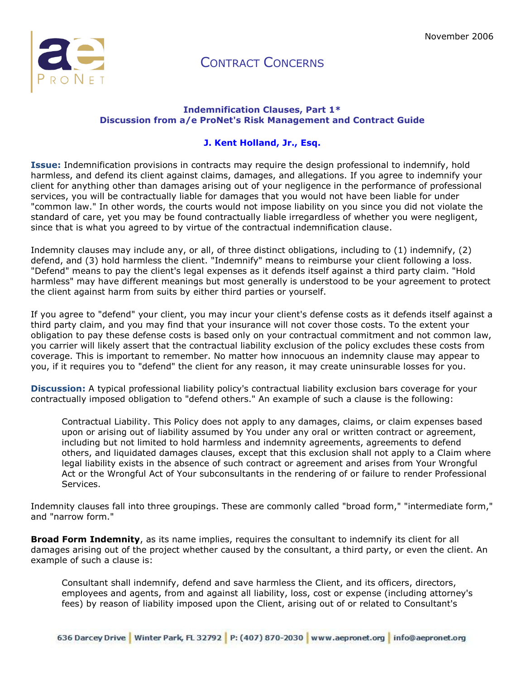

#### **Indemnification Clauses, Part 1\* Discussion from a/e ProNet's Risk Management and Contract Guide**

#### **[J. Kent Holland, Jr., Esq.](http://aepronet.org/ge/no54.html#bio#bio)**

**Issue:** Indemnification provisions in contracts may require the design professional to indemnify, hold harmless, and defend its client against claims, damages, and allegations. If you agree to indemnify your client for anything other than damages arising out of your negligence in the performance of professional services, you will be contractually liable for damages that you would not have been liable for under "common law." In other words, the courts would not impose liability on you since you did not violate the standard of care, yet you may be found contractually liable irregardless of whether you were negligent, since that is what you agreed to by virtue of the contractual indemnification clause.

Indemnity clauses may include any, or all, of three distinct obligations, including to (1) indemnify, (2) defend, and (3) hold harmless the client. "Indemnify" means to reimburse your client following a loss. "Defend" means to pay the client's legal expenses as it defends itself against a third party claim. "Hold harmless" may have different meanings but most generally is understood to be your agreement to protect the client against harm from suits by either third parties or yourself.

If you agree to "defend" your client, you may incur your client's defense costs as it defends itself against a third party claim, and you may find that your insurance will not cover those costs. To the extent your obligation to pay these defense costs is based only on your contractual commitment and not common law, you carrier will likely assert that the contractual liability exclusion of the policy excludes these costs from coverage. This is important to remember. No matter how innocuous an indemnity clause may appear to you, if it requires you to "defend" the client for any reason, it may create uninsurable losses for you.

**Discussion:** A typical professional liability policy's contractual liability exclusion bars coverage for your contractually imposed obligation to "defend others." An example of such a clause is the following:

Contractual Liability. This Policy does not apply to any damages, claims, or claim expenses based upon or arising out of liability assumed by You under any oral or written contract or agreement, including but not limited to hold harmless and indemnity agreements, agreements to defend others, and liquidated damages clauses, except that this exclusion shall not apply to a Claim where legal liability exists in the absence of such contract or agreement and arises from Your Wrongful Act or the Wrongful Act of Your subconsultants in the rendering of or failure to render Professional Services.

Indemnity clauses fall into three groupings. These are commonly called "broad form," "intermediate form," and "narrow form."

**Broad Form Indemnity**, as its name implies, requires the consultant to indemnify its client for all damages arising out of the project whether caused by the consultant, a third party, or even the client. An example of such a clause is:

Consultant shall indemnify, defend and save harmless the Client, and its officers, directors, employees and agents, from and against all liability, loss, cost or expense (including attorney's fees) by reason of liability imposed upon the Client, arising out of or related to Consultant's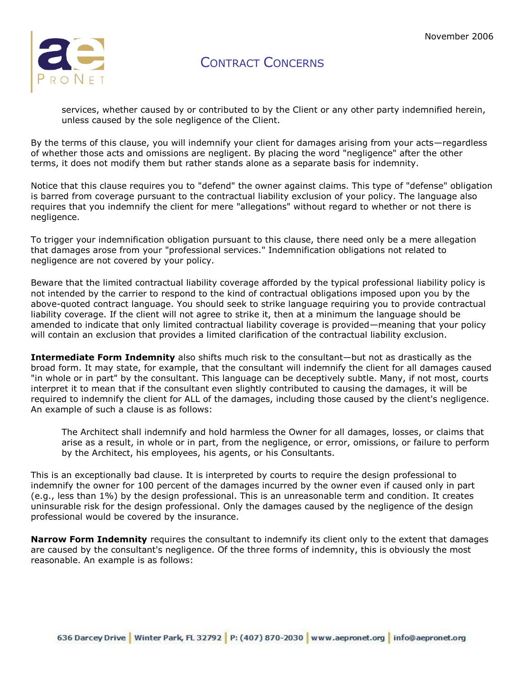

services, whether caused by or contributed to by the Client or any other party indemnified herein, unless caused by the sole negligence of the Client.

By the terms of this clause, you will indemnify your client for damages arising from your acts—regardless of whether those acts and omissions are negligent. By placing the word "negligence" after the other terms, it does not modify them but rather stands alone as a separate basis for indemnity.

Notice that this clause requires you to "defend" the owner against claims. This type of "defense" obligation is barred from coverage pursuant to the contractual liability exclusion of your policy. The language also requires that you indemnify the client for mere "allegations" without regard to whether or not there is negligence.

To trigger your indemnification obligation pursuant to this clause, there need only be a mere allegation that damages arose from your "professional services." Indemnification obligations not related to negligence are not covered by your policy.

Beware that the limited contractual liability coverage afforded by the typical professional liability policy is not intended by the carrier to respond to the kind of contractual obligations imposed upon you by the above-quoted contract language. You should seek to strike language requiring you to provide contractual liability coverage. If the client will not agree to strike it, then at a minimum the language should be amended to indicate that only limited contractual liability coverage is provided—meaning that your policy will contain an exclusion that provides a limited clarification of the contractual liability exclusion.

**Intermediate Form Indemnity** also shifts much risk to the consultant—but not as drastically as the broad form. It may state, for example, that the consultant will indemnify the client for all damages caused "in whole or in part" by the consultant. This language can be deceptively subtle. Many, if not most, courts interpret it to mean that if the consultant even slightly contributed to causing the damages, it will be required to indemnify the client for ALL of the damages, including those caused by the client's negligence. An example of such a clause is as follows:

The Architect shall indemnify and hold harmless the Owner for all damages, losses, or claims that arise as a result, in whole or in part, from the negligence, or error, omissions, or failure to perform by the Architect, his employees, his agents, or his Consultants.

This is an exceptionally bad clause. It is interpreted by courts to require the design professional to indemnify the owner for 100 percent of the damages incurred by the owner even if caused only in part (e.g., less than 1%) by the design professional. This is an unreasonable term and condition. It creates uninsurable risk for the design professional. Only the damages caused by the negligence of the design professional would be covered by the insurance.

**Narrow Form Indemnity** requires the consultant to indemnify its client only to the extent that damages are caused by the consultant's negligence. Of the three forms of indemnity, this is obviously the most reasonable. An example is as follows: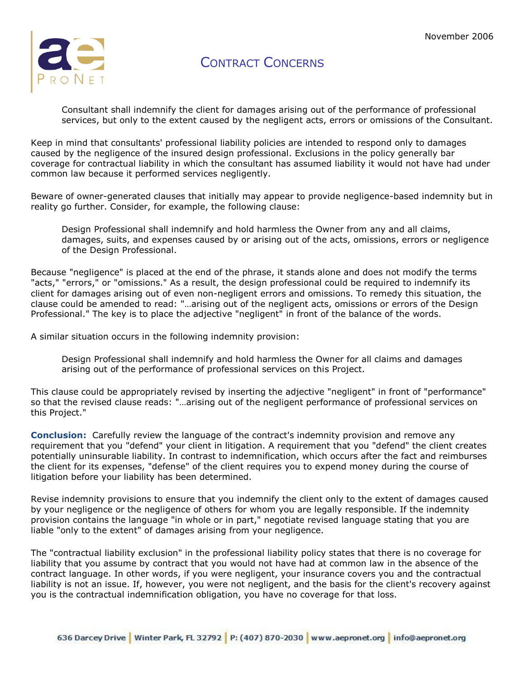

Consultant shall indemnify the client for damages arising out of the performance of professional services, but only to the extent caused by the negligent acts, errors or omissions of the Consultant.

Keep in mind that consultants' professional liability policies are intended to respond only to damages caused by the negligence of the insured design professional. Exclusions in the policy generally bar coverage for contractual liability in which the consultant has assumed liability it would not have had under common law because it performed services negligently.

Beware of owner-generated clauses that initially may appear to provide negligence-based indemnity but in reality go further. Consider, for example, the following clause:

Design Professional shall indemnify and hold harmless the Owner from any and all claims, damages, suits, and expenses caused by or arising out of the acts, omissions, errors or negligence of the Design Professional.

Because "negligence" is placed at the end of the phrase, it stands alone and does not modify the terms "acts," "errors," or "omissions." As a result, the design professional could be required to indemnify its client for damages arising out of even non-negligent errors and omissions. To remedy this situation, the clause could be amended to read: "…arising out of the negligent acts, omissions or errors of the Design Professional." The key is to place the adjective "negligent" in front of the balance of the words.

A similar situation occurs in the following indemnity provision:

Design Professional shall indemnify and hold harmless the Owner for all claims and damages arising out of the performance of professional services on this Project.

This clause could be appropriately revised by inserting the adjective "negligent" in front of "performance" so that the revised clause reads: "…arising out of the negligent performance of professional services on this Project."

**Conclusion:** Carefully review the language of the contract's indemnity provision and remove any requirement that you "defend" your client in litigation. A requirement that you "defend" the client creates potentially uninsurable liability. In contrast to indemnification, which occurs after the fact and reimburses the client for its expenses, "defense" of the client requires you to expend money during the course of litigation before your liability has been determined.

Revise indemnity provisions to ensure that you indemnify the client only to the extent of damages caused by your negligence or the negligence of others for whom you are legally responsible. If the indemnity provision contains the language "in whole or in part," negotiate revised language stating that you are liable "only to the extent" of damages arising from your negligence.

The "contractual liability exclusion" in the professional liability policy states that there is no coverage for liability that you assume by contract that you would not have had at common law in the absence of the contract language. In other words, if you were negligent, your insurance covers you and the contractual liability is not an issue. If, however, you were not negligent, and the basis for the client's recovery against you is the contractual indemnification obligation, you have no coverage for that loss.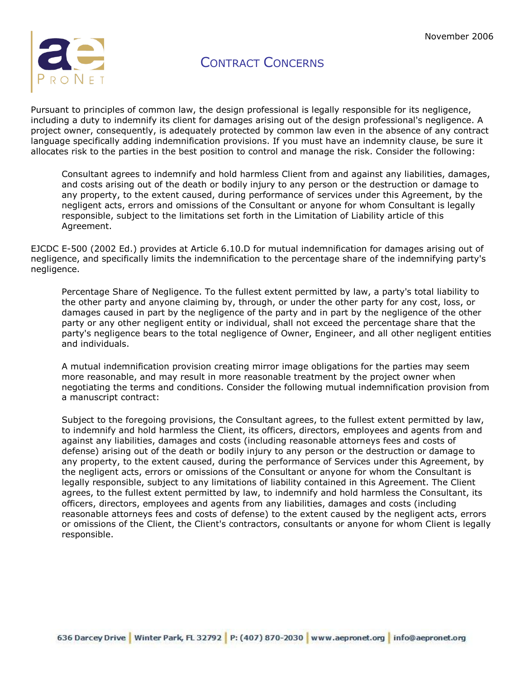

Pursuant to principles of common law, the design professional is legally responsible for its negligence, including a duty to indemnify its client for damages arising out of the design professional's negligence. A project owner, consequently, is adequately protected by common law even in the absence of any contract language specifically adding indemnification provisions. If you must have an indemnity clause, be sure it allocates risk to the parties in the best position to control and manage the risk. Consider the following:

Consultant agrees to indemnify and hold harmless Client from and against any liabilities, damages, and costs arising out of the death or bodily injury to any person or the destruction or damage to any property, to the extent caused, during performance of services under this Agreement, by the negligent acts, errors and omissions of the Consultant or anyone for whom Consultant is legally responsible, subject to the limitations set forth in the Limitation of Liability article of this Agreement.

EJCDC E-500 (2002 Ed.) provides at Article 6.10.D for mutual indemnification for damages arising out of negligence, and specifically limits the indemnification to the percentage share of the indemnifying party's negligence.

Percentage Share of Negligence. To the fullest extent permitted by law, a party's total liability to the other party and anyone claiming by, through, or under the other party for any cost, loss, or damages caused in part by the negligence of the party and in part by the negligence of the other party or any other negligent entity or individual, shall not exceed the percentage share that the party's negligence bears to the total negligence of Owner, Engineer, and all other negligent entities and individuals.

A mutual indemnification provision creating mirror image obligations for the parties may seem more reasonable, and may result in more reasonable treatment by the project owner when negotiating the terms and conditions. Consider the following mutual indemnification provision from a manuscript contract:

Subject to the foregoing provisions, the Consultant agrees, to the fullest extent permitted by law, to indemnify and hold harmless the Client, its officers, directors, employees and agents from and against any liabilities, damages and costs (including reasonable attorneys fees and costs of defense) arising out of the death or bodily injury to any person or the destruction or damage to any property, to the extent caused, during the performance of Services under this Agreement, by the negligent acts, errors or omissions of the Consultant or anyone for whom the Consultant is legally responsible, subject to any limitations of liability contained in this Agreement. The Client agrees, to the fullest extent permitted by law, to indemnify and hold harmless the Consultant, its officers, directors, employees and agents from any liabilities, damages and costs (including reasonable attorneys fees and costs of defense) to the extent caused by the negligent acts, errors or omissions of the Client, the Client's contractors, consultants or anyone for whom Client is legally responsible.